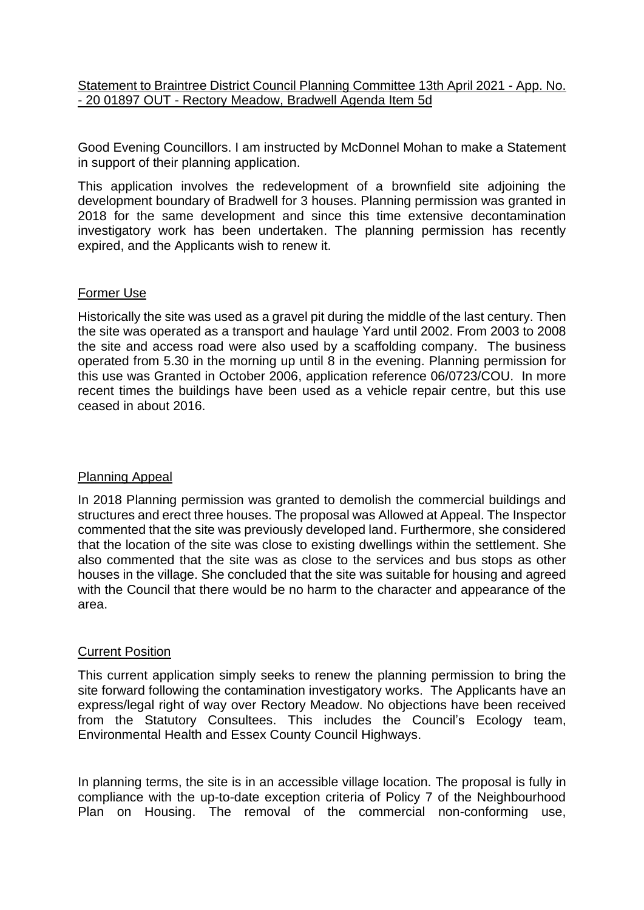Statement to Braintree District Council Planning Committee 13th April 2021 - App. No. - 20 01897 OUT - Rectory Meadow, Bradwell Agenda Item 5d

Good Evening Councillors. I am instructed by McDonnel Mohan to make a Statement in support of their planning application.

This application involves the redevelopment of a brownfield site adjoining the development boundary of Bradwell for 3 houses. Planning permission was granted in 2018 for the same development and since this time extensive decontamination investigatory work has been undertaken. The planning permission has recently expired, and the Applicants wish to renew it.

## Former Use

Historically the site was used as a gravel pit during the middle of the last century. Then the site was operated as a transport and haulage Yard until 2002. From 2003 to 2008 the site and access road were also used by a scaffolding company. The business operated from 5.30 in the morning up until 8 in the evening. Planning permission for this use was Granted in October 2006, application reference 06/0723/COU. In more recent times the buildings have been used as a vehicle repair centre, but this use ceased in about 2016.

## Planning Appeal

In 2018 Planning permission was granted to demolish the commercial buildings and structures and erect three houses. The proposal was Allowed at Appeal. The Inspector commented that the site was previously developed land. Furthermore, she considered that the location of the site was close to existing dwellings within the settlement. She also commented that the site was as close to the services and bus stops as other houses in the village. She concluded that the site was suitable for housing and agreed with the Council that there would be no harm to the character and appearance of the area.

## Current Position

This current application simply seeks to renew the planning permission to bring the site forward following the contamination investigatory works. The Applicants have an express/legal right of way over Rectory Meadow. No objections have been received from the Statutory Consultees. This includes the Council's Ecology team, Environmental Health and Essex County Council Highways.

In planning terms, the site is in an accessible village location. The proposal is fully in compliance with the up-to-date exception criteria of Policy 7 of the Neighbourhood Plan on Housing. The removal of the commercial non-conforming use,